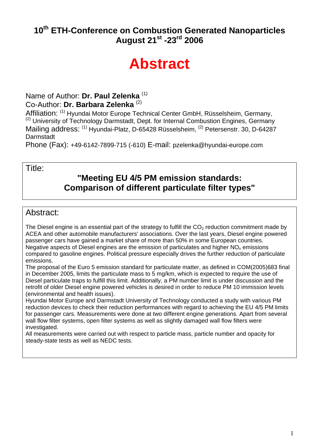#### 10<sup>th</sup> ETH-Conference on Combustion Generated Nanoparticles **August 21st -23rd 2006**

# **Abstract**

#### Name of Author: **Dr. Paul Zelenka** (1) Co-Author: **Dr. Barbara Zelenka** (2)

Affiliation: (1) Hyundai Motor Europe Technical Center GmbH, Rüsselsheim, Germany, <sup>(2)</sup> University of Technology Darmstadt, Dept. for Internal Combustion Engines, Germany Mailing address: (1) Hyundai-Platz, D-65428 Rüsselsheim, <sup>(2)</sup> Petersenstr, 30, D-64287 **Darmstadt** 

Phone (Fax): +49-6142-7899-715 (-610) E-mail: pzelenka@hyundai-europe.com

#### Title:

#### **"Meeting EU 4/5 PM emission standards: Comparison of different particulate filter types"**

#### Abstract:

The Diesel engine is an essential part of the strategy to fulfill the  $CO<sub>2</sub>$  reduction commitment made by ACEA and other automobile manufacturers' associations. Over the last years, Diesel engine powered passenger cars have gained a market share of more than 50% in some European countries. Negative aspects of Diesel engines are the emission of particulates and higher  $NO<sub>x</sub>$  emissions compared to gasoline engines. Political pressure especially drives the further reduction of particulate emissions.

The proposal of the Euro 5 emission standard for particulate matter, as defined in COM(2005)683 final in December 2005, limits the particulate mass to 5 mg/km, which is expected to require the use of Diesel particulate traps to fulfill this limit. Additionally, a PM number limit is under discussion and the retrofit of older Diesel engine powered vehicles is desired in order to reduce PM 10 immission levels (environmental and health issues).

Hyundai Motor Europe and Darmstadt University of Technology conducted a study with various PM reduction devices to check their reduction performances with regard to achieving the EU 4/5 PM limits for passenger cars. Measurements were done at two different engine generations. Apart from several wall flow filter systems, open filter systems as well as slightly damaged wall flow filters were investigated.

All measurements were carried out with respect to particle mass, particle number and opacity for steady-state tests as well as NEDC tests.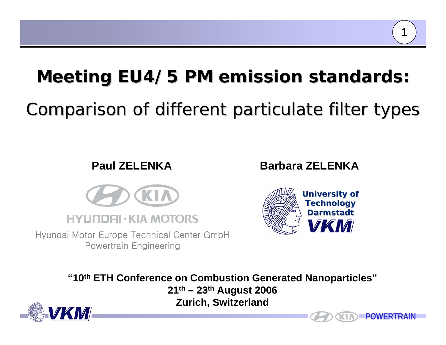# **Meeting EU4/5 PM emission standards: Meeting EU4/5 PM emission standards:**

# Comparison of different particulate filter types Comparison of different particulate filter types

## **Paul ZELENKA**



Hyundai Motor Europe Technical Center GmbH Po w ertrai n Engine erin g

## **Barbara ZELENKA**



**"10th ETH Conference on Combustion Generated Nanoparticles" 21th – 23th August 2006 Zurich, Switzerland**





**1**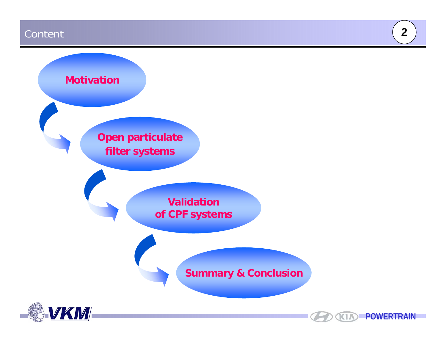#### Content

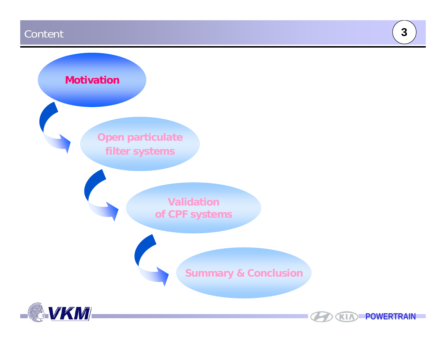#### Content





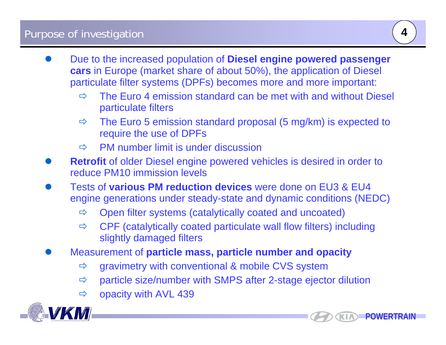- $\bullet$  Due to the increased population of **Diesel engine powered passenger cars** in Europe (market share of about 50%), the application of Diesel particulate filter systems (DPFs) becomes more and more important:
	- Ö The Euro 4 emission standard can be met with and without Diesel particulate filters
	- Ö The Euro 5 emission standard proposal (5 mg/km) is expected to require the use of DPFs
	- $\Rightarrow$ PM number limit is under discussion
- $\bullet$ **Retrofit** of older Diesel engine powered vehicles is desired in order to reduce PM10 immission levels
- $\bullet$  Tests of **various PM reduction devices** were done on EU3 & EU4 engine generations under steady-state and dynamic conditions (NEDC)
	- $\Rightarrow$ Open filter systems (catalytically coated and uncoated)
	- $\Rightarrow$  CPF (catalytically coated particulate wall flow filters) including slightly damaged filters
- $\bullet$  Measurement of **particle mass, particle number and opacity**
	- $\Rightarrow$ gravimetry with conventional & mobile CVS system
	- $\Rightarrow$ particle size/number with SMPS after 2-stage ejector dilution
	- $\Rightarrow$ opacity with AVL 439



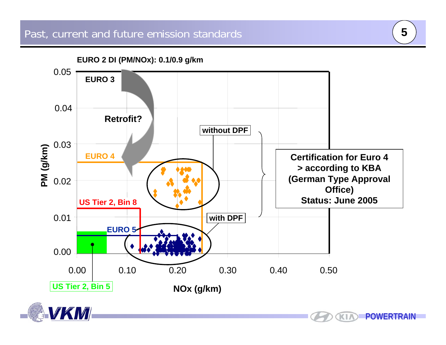



**KIA**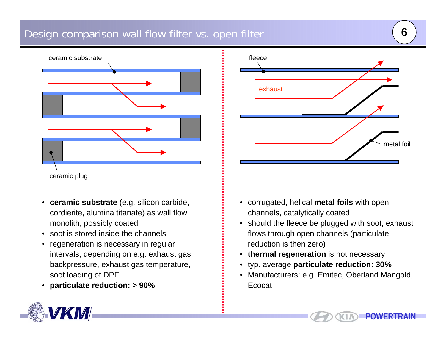#### Design comparison wall flow filter vs. open filter



- **ceramic sub strate** (e.g. silicon carbide, cordi erite, alumi na titanate) as wall flow monolith, possibly coated
- •soot is stored inside the channels
- • regeneration is necessary in regular intervals, depending on e.g. exhaust gas backpressure, exhaust gas temperature, soot l oadi ng of DPF
- •**particulate reduction: > 90%**



- corrugated, helical **metal foils** with open channels, catalytically coated
- should the fleece be plugged with soot, exhaust flows through open channels (particulate reduction is then zero)
- •**• thermal regeneration** is not necessary
- •typ. average **p articulate reduction: 30 %**
- $\bullet$  Manufacturers: e.g. Emitec, Oberland Mangold, Ecocat

KI.

**POWERTRAIN**

**6**

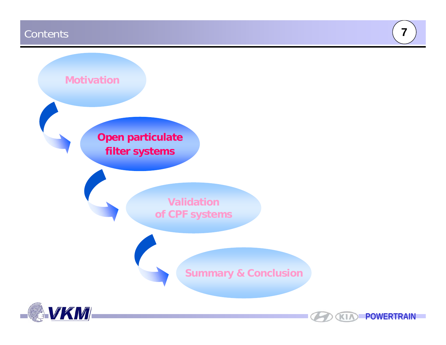#### **Contents**



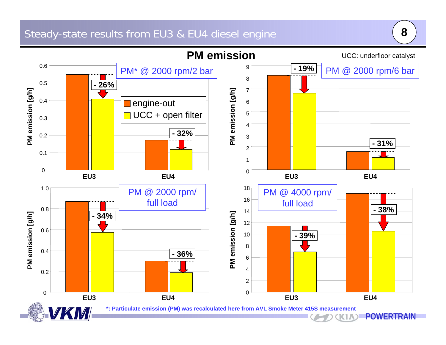#### Steady-state results from EU3 & EU4 diesel engine



**8**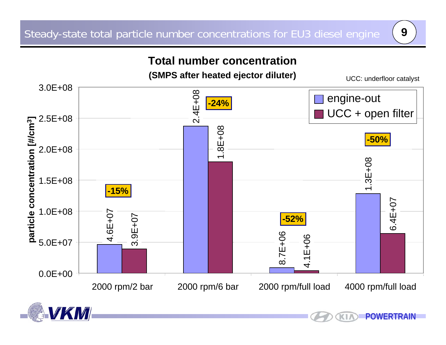K1/

### **Total number concentration**



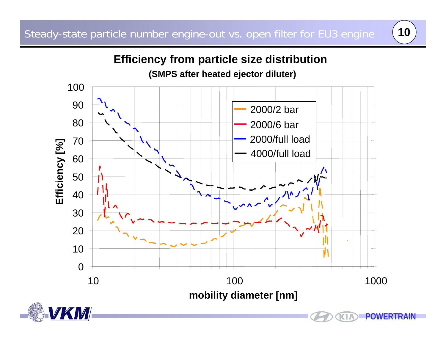

# **Efficiency from particle size distribution**





KI. **POWERTRAIN**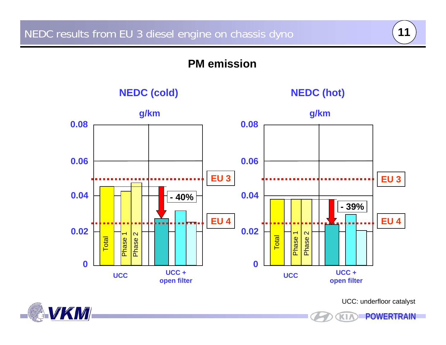#### **PM emission**

**NEDC (cold) NEDC (hot)**







UCC: underfloor catalyst

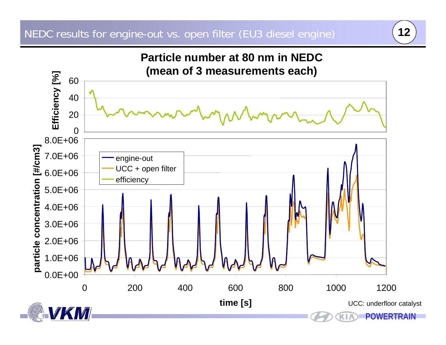

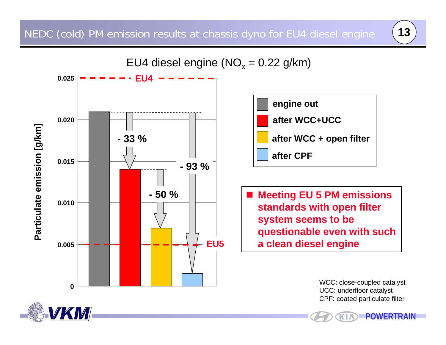



WCC: close-coupled catalyst UCC: underfloor catalyst CPF: coated particulate filter

**POWERTRAIN**

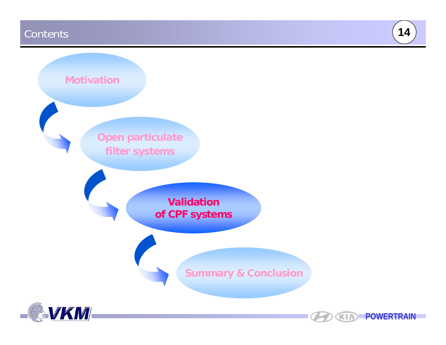#### **Contents**



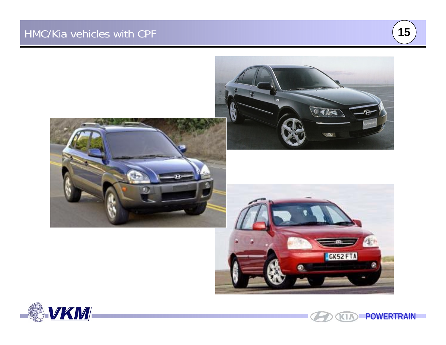







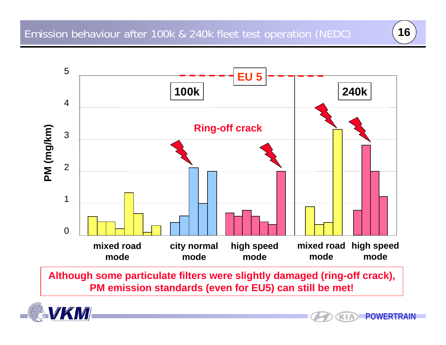

**Although some particulate filters were slightly damaged (ring-off crack), PM emission standards (even for EU5) can still be met!**



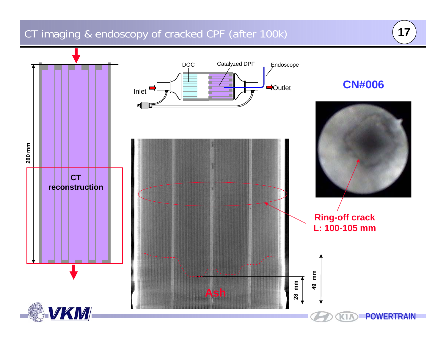# CT imaging & endoscopy of cracked CPF (after 100k) **<sup>17</sup>**

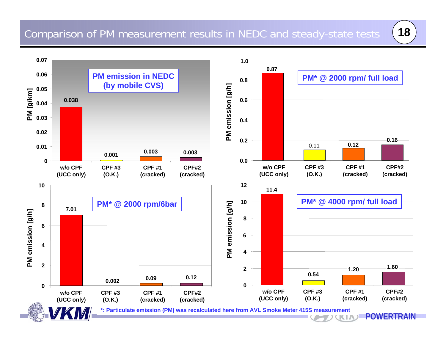

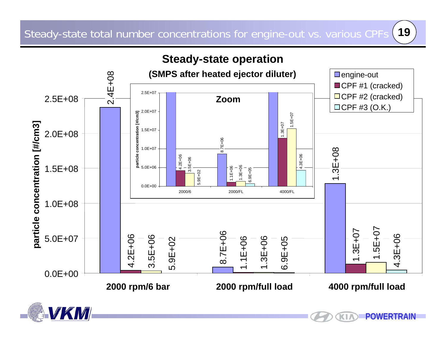

KI.



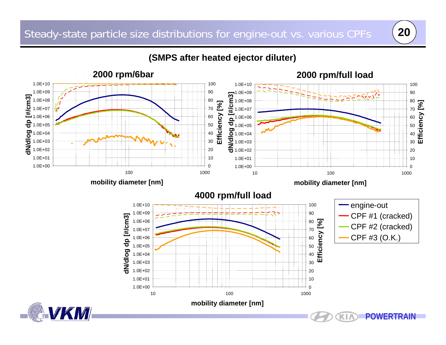#### **(SMPS after heated ejector diluter)**

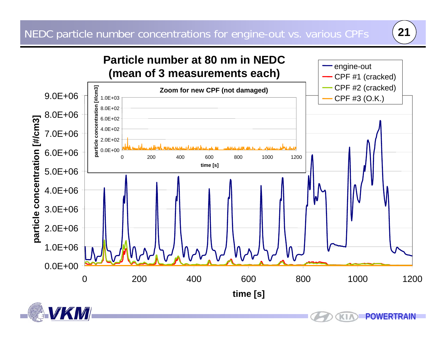

ΚI



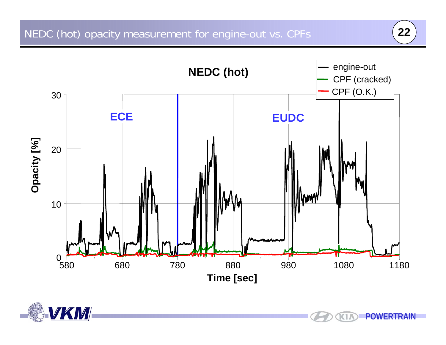**KIA** 



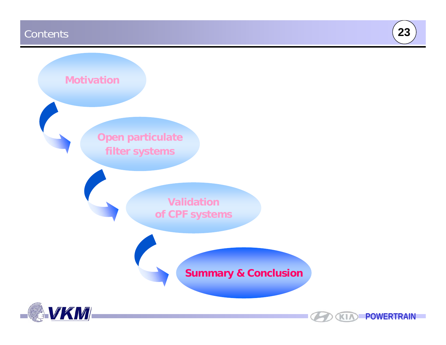#### **Contents**



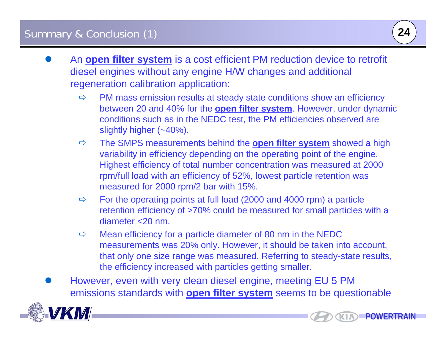- $\bullet$  An **open filter system** is a cost efficient PM reduction device to retrofit diesel engines without any engine H/W changes and additional regeneration calibration application:
	- $\Rightarrow$ PM mass emission results at steady state conditions show an efficiency between 20 and 40% for the **open filter system**. However, under dynamic conditions such as in the NEDC test, the PM efficiencies observed are slightly higher (~40%).
	- Ö The SMPS measurements behind the **open filter system** showed a high variability in efficiency depending on the operating point of the engine. Highest efficiency of total number concentration was measured at 2000 rpm/full load with an efficiency of 52%, lowest particle retention was measured for 2000 rpm/2 bar with 15%.
	- $\Rightarrow$  For the operating points at full load (2000 and 4000 rpm) a particle retention efficiency of >70% could be measured for small particles with a diameter <20 nm.
	- Ö Mean efficiency for a particle diameter of 80 nm in the NEDC measurements was 20% only. However, it should be taken into account, that only one size range was measured. Referring to steady-state results, the efficiency increased with particles getting smaller.
- $\bullet$  However, even with very clean diesel engine, meeting EU 5 PM emissions standards with **open filter system** seems to be questionable



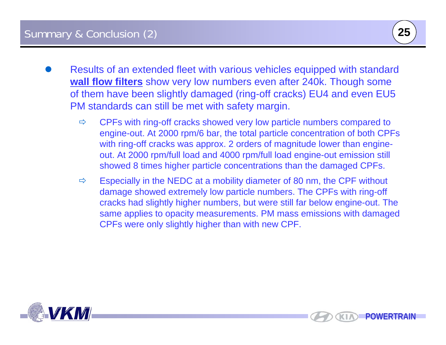- $\bullet$  Results of an extended fleet with various vehicles equipped with standard **wall flow filters** show very low numbers even after 240k. Though some of them have been slightly damaged (ring-off cracks) EU4 and even EU5 PM standards can still be met with safety margin.
	- Ö CPFs with ring-off cracks showed very low particle numbers compared to engine-out. At 2000 rpm/6 bar, the total particle concentration of both CPFs with ring-off cracks was approx. 2 orders of magnitude lower than engineout. At 2000 rpm/full load and 4000 rpm/full load engine-out emission still showed 8 times higher particle concentrations than the damaged CPFs.
	- Ö Especially in the NEDC at a mobility diameter of 80 nm, the CPF without damage showed extremely low particle numbers. The CPFs with ring-off cracks had slightly higher numbers, but were still far below engine-out. The same applies to opacity measurements. PM mass emissions with damaged CPFs were only slightly higher than with new CPF.